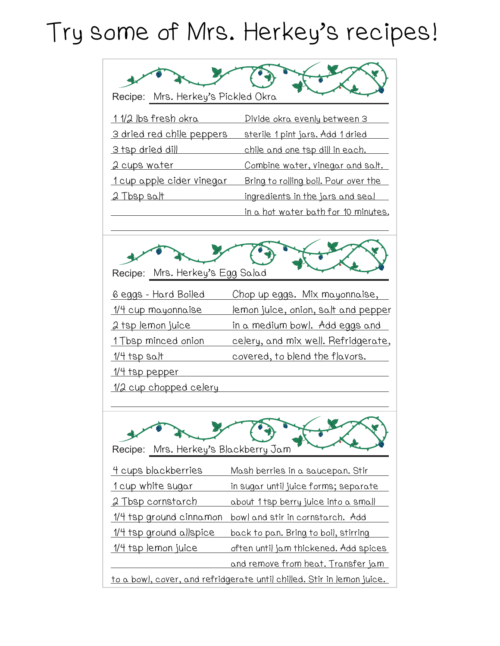## Try some of Mrs. Herkey's recipes!

| Recipe: Mrs. Herkey's Pickled Okra                                            |                                               |
|-------------------------------------------------------------------------------|-----------------------------------------------|
| 1 1/2 lbs fresh okra                                                          | Divide okra evenly between 3                  |
| 3 dried red chile peppers                                                     | <u>sterile 1 pint jars. Add 1 dried</u>       |
| 3 tsp dried dill                                                              | <u>chile and one tsp dill in each.</u>        |
| 2 cups water                                                                  | Combine water, vinegar and salt.              |
| <u>1 cup apple cider vinegar</u>                                              | Bring to rolling boil. Pour over the          |
| <u>2 Tbsp salt</u>                                                            | <u>ingredients in the jars and seal</u>       |
|                                                                               | in a hot water bath for 10 minutes.           |
| Recipe: Mrs. Herkey's Egg Salad                                               |                                               |
| <u> 6 eggs - Hard Boiled</u>                                                  | <u>Chop up eggs. Mix mayonnaise,</u>          |
| <u> 1/4 cup mayonnaise</u>                                                    | <u>lemon juice, onion, salt and pepper</u>    |
| <u> 2 tsp lemon juice</u>                                                     | <u>in a medium bowl. Add eggs and</u>         |
| 1 Tbsp minced onion                                                           | <u>celery, and mix well. Refridgerate,</u>    |
| <u> 1/4 tsp salt</u>                                                          | <u>covered, to blend the flavors.</u>         |
| <u> 1/4 tsp pepper</u>                                                        |                                               |
| <u> 1/2 cup chopped celery</u>                                                |                                               |
|                                                                               |                                               |
| Recipe: Mrs. Herkey's Blackberry Jam                                          |                                               |
| 4 cups blackberries                                                           | Mash berries in a saucepan. Stir              |
| <u>1 cup white sugar</u>                                                      | <u>in sugar until juice forms; separate</u>   |
| <u> 2 Tbsp cornstarch</u>                                                     | <u>about 1tsp berry juice into a small</u>    |
| <u>1/4 tsp ground cinnamon</u>                                                | bowl and stir in cornstarch. Add              |
| <u>1/4 tsp ground allspice</u>                                                | <u>back to pan. Bring to boil, stirring</u>   |
| <u> 1/4 tsp lemon juice</u>                                                   | <u>often until jam thickened. Add spices </u> |
|                                                                               | <u>and remove from heat. Transfer jam</u>     |
| <u>to a bowl, cover, and refridgerate until chilled. Stir in lemon juice.</u> |                                               |